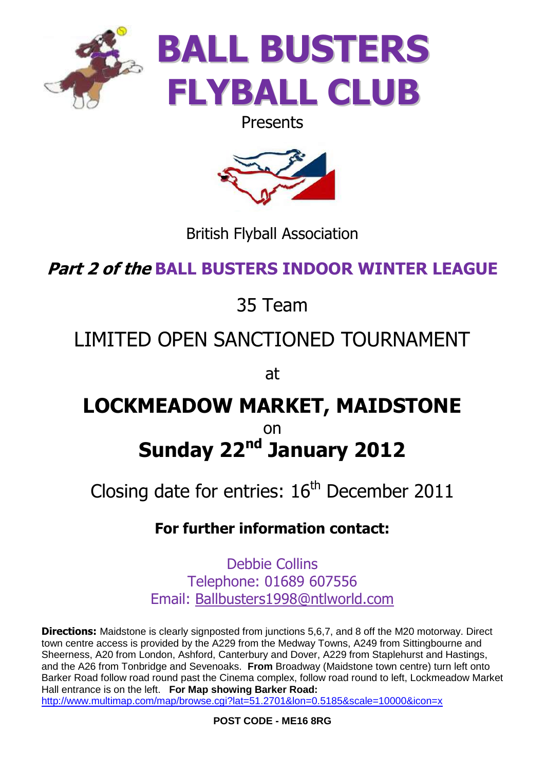

Presents



British Flyball Association

**Part 2 of the BALL BUSTERS INDOOR WINTER LEAGUE**

## 35 Team

# LIMITED OPEN SANCTIONED TOURNAMENT

at

## **LOCKMEADOW MARKET, MAIDSTONE** on **Sunday 22nd January 2012**

Closing date for entries:  $16<sup>th</sup>$  December 2011

### **For further information contact:**

Debbie Collins Telephone: 01689 607556 Email: [Ballbusters1998@ntlworld.com](mailto:Ballbusters1998@ntlworld.com)

**Directions:** Maidstone is clearly signposted from junctions 5,6,7, and 8 off the M20 motorway. Direct town centre access is provided by the A229 from the Medway Towns, A249 from Sittingbourne and Sheerness, A20 from London, Ashford, Canterbury and Dover, A229 from Staplehurst and Hastings, and the A26 from Tonbridge and Sevenoaks. **From** Broadway (Maidstone town centre) turn left onto Barker Road follow road round past the Cinema complex, follow road round to left, Lockmeadow Market Hall entrance is on the left. **For Map showing Barker Road:**

<http://www.multimap.com/map/browse.cgi?lat=51.2701&lon=0.5185&scale=10000&icon=x>

**POST CODE - ME16 8RG**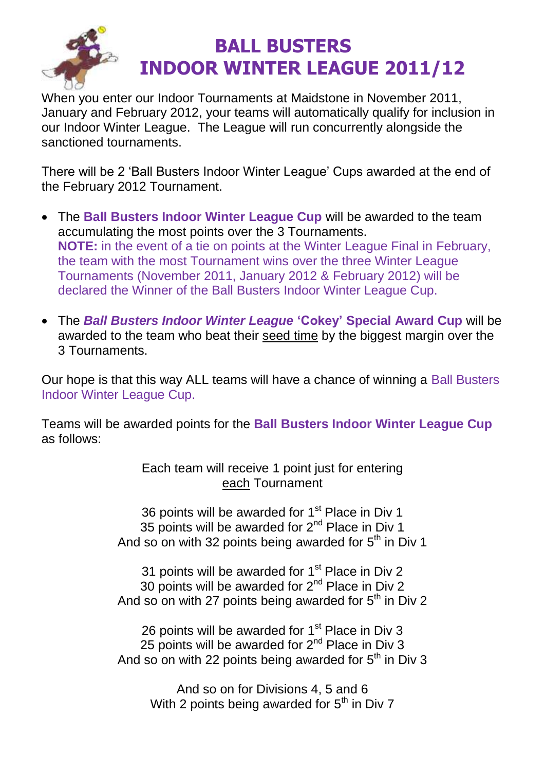

### **BALL BUSTERS INDOOR WINTER LEAGUE 2011/12**

When you enter our Indoor Tournaments at Maidstone in November 2011, January and February 2012, your teams will automatically qualify for inclusion in our Indoor Winter League. The League will run concurrently alongside the sanctioned tournaments.

There will be 2 'Ball Busters Indoor Winter League' Cups awarded at the end of the February 2012 Tournament.

- The **Ball Busters Indoor Winter League Cup** will be awarded to the team accumulating the most points over the 3 Tournaments. **NOTE:** in the event of a tie on points at the Winter League Final in February, the team with the most Tournament wins over the three Winter League Tournaments (November 2011, January 2012 & February 2012) will be declared the Winner of the Ball Busters Indoor Winter League Cup.
- The *Ball Busters Indoor Winter League* **'Cokey' Special Award Cup** will be awarded to the team who beat their seed time by the biggest margin over the 3 Tournaments.

Our hope is that this way ALL teams will have a chance of winning a Ball Busters Indoor Winter League Cup.

Teams will be awarded points for the **Ball Busters Indoor Winter League Cup** as follows:

> Each team will receive 1 point just for entering each Tournament

36 points will be awarded for 1<sup>st</sup> Place in Div 1 35 points will be awarded for  $2<sup>nd</sup>$  Place in Div 1 And so on with 32 points being awarded for  $5<sup>th</sup>$  in Div 1

31 points will be awarded for  $1<sup>st</sup>$  Place in Div 2 30 points will be awarded for  $2^{nd}$  Place in Div 2 And so on with 27 points being awarded for  $5<sup>th</sup>$  in Div 2

26 points will be awarded for  $1<sup>st</sup>$  Place in Div 3 25 points will be awarded for  $2^{nd}$  Place in Div 3 And so on with 22 points being awarded for  $5<sup>th</sup>$  in Div 3

And so on for Divisions 4, 5 and 6 With 2 points being awarded for  $5<sup>th</sup>$  in Div 7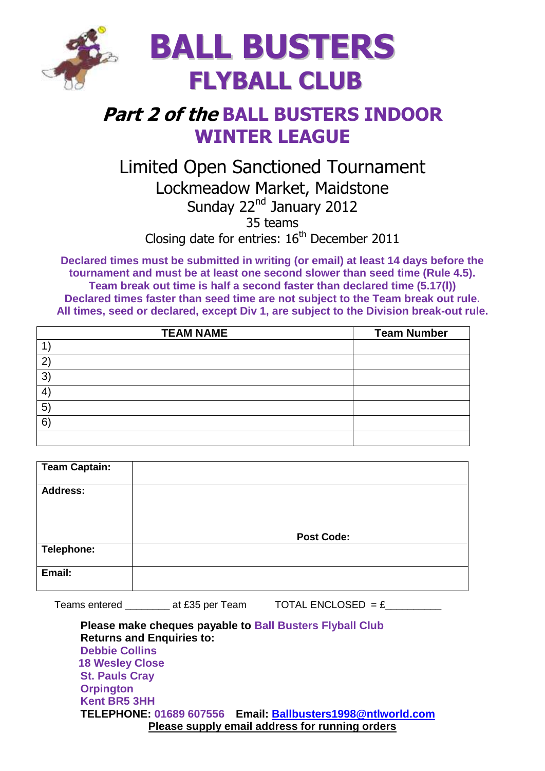

### **Part 2 of the BALL BUSTERS INDOOR WINTER LEAGUE**

#### Limited Open Sanctioned Tournament Lockmeadow Market, Maidstone Sunday 22<sup>nd</sup> January 2012 35 teams Closing date for entries: 16<sup>th</sup> December 2011

**Declared times must be submitted in writing (or email) at least 14 days before the tournament and must be at least one second slower than seed time (Rule 4.5). Team break out time is half a second faster than declared time (5.17(l)) Declared times faster than seed time are not subject to the Team break out rule. All times, seed or declared, except Div 1, are subject to the Division break-out rule.**

| <b>TEAM NAME</b> | <b>Team Number</b> |
|------------------|--------------------|
|                  |                    |
| 2                |                    |
| $\mathbf{3}$     |                    |
| 4                |                    |
| $5^{\circ}$      |                    |
| 6 <sup>°</sup>   |                    |
|                  |                    |

| <b>Team Captain:</b> |                   |
|----------------------|-------------------|
| <b>Address:</b>      |                   |
|                      | <b>Post Code:</b> |
| Telephone:           |                   |
| Email:               |                   |

Teams entered \_\_\_\_\_\_\_\_\_\_ at £35 per Team  $\overline{A}$  TOTAL ENCLOSED = £

**Please make cheques payable to Ball Busters Flyball Club Returns and Enquiries to: Debbie Collins 18 Wesley Close St. Pauls Cray Orpington Kent BR5 3HH TELEPHONE: 01689 607556 Email: [Ballbusters1998@ntlworld.com](mailto:Ballbusters1998@ntlworld.com) Please supply email address for running orders**